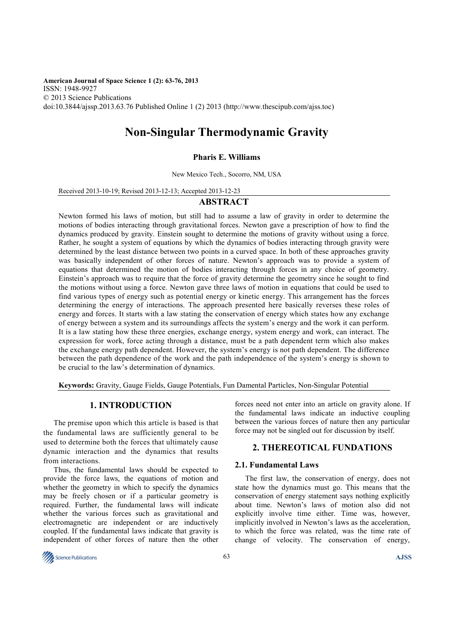**American Journal of Space Science 1 (2): 63-76, 2013**  ISSN: 1948-9927 © 2013 Science Publications doi:10.3844/ajssp.2013.63.76 Published Online 1 (2) 2013 (http://www.thescipub.com/ajss.toc)

# **Non-Singular Thermodynamic Gravity**

## **Pharis E. Williams**

New Mexico Tech., Socorro, NM, USA

Received 2013-10-19; Revised 2013-12-13; Accepted 2013-12-23

## **ABSTRACT**

Newton formed his laws of motion, but still had to assume a law of gravity in order to determine the motions of bodies interacting through gravitational forces. Newton gave a prescription of how to find the dynamics produced by gravity. Einstein sought to determine the motions of gravity without using a force. Rather, he sought a system of equations by which the dynamics of bodies interacting through gravity were determined by the least distance between two points in a curved space. In both of these approaches gravity was basically independent of other forces of nature. Newton's approach was to provide a system of equations that determined the motion of bodies interacting through forces in any choice of geometry. Einstein's approach was to require that the force of gravity determine the geometry since he sought to find the motions without using a force. Newton gave three laws of motion in equations that could be used to find various types of energy such as potential energy or kinetic energy. This arrangement has the forces determining the energy of interactions. The approach presented here basically reverses these roles of energy and forces. It starts with a law stating the conservation of energy which states how any exchange of energy between a system and its surroundings affects the system's energy and the work it can perform. It is a law stating how these three energies, exchange energy, system energy and work, can interact. The expression for work, force acting through a distance, must be a path dependent term which also makes the exchange energy path dependent. However, the system's energy is not path dependent. The difference between the path dependence of the work and the path independence of the system's energy is shown to be crucial to the law's determination of dynamics.

**Keywords:** Gravity, Gauge Fields, Gauge Potentials, Fun Damental Particles, Non-Singular Potential

# **1. INTRODUCTION**

The premise upon which this article is based is that the fundamental laws are sufficiently general to be used to determine both the forces that ultimately cause dynamic interaction and the dynamics that results from interactions.

Thus, the fundamental laws should be expected to provide the force laws, the equations of motion and whether the geometry in which to specify the dynamics may be freely chosen or if a particular geometry is required. Further, the fundamental laws will indicate whether the various forces such as gravitational and electromagnetic are independent or are inductively coupled. If the fundamental laws indicate that gravity is independent of other forces of nature then the other forces need not enter into an article on gravity alone. If the fundamental laws indicate an inductive coupling between the various forces of nature then any particular force may not be singled out for discussion by itself.

## **2. THEREOTICAL FUNDATIONS**

#### **2.1. Fundamental Laws**

The first law, the conservation of energy, does not state how the dynamics must go. This means that the conservation of energy statement says nothing explicitly about time. Newton's laws of motion also did not explicitly involve time either. Time was, however, implicitly involved in Newton's laws as the acceleration, to which the force was related, was the time rate of change of velocity. The conservation of energy,

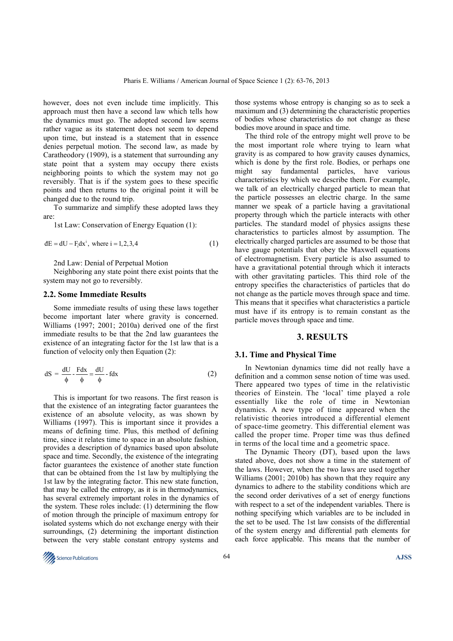however, does not even include time implicitly. This approach must then have a second law which tells how the dynamics must go. The adopted second law seems rather vague as its statement does not seem to depend upon time, but instead is a statement that in essence denies perpetual motion. The second law, as made by Caratheodory (1909), is a statement that surrounding any state point that a system may occupy there exists neighboring points to which the system may not go reversibly. That is if the system goes to these specific points and then returns to the original point it will be changed due to the round trip.

To summarize and simplify these adopted laws they are:

1st Law: Conservation of Energy Equation (1):

$$
dE = dU - F_i dx^i, \text{ where } i = 1, 2, 3, 4
$$
 (1)

2nd Law: Denial of Perpetual Motion

Neighboring any state point there exist points that the system may not go to reversibly.

#### **2.2. Some Immediate Results**

Some immediate results of using these laws together become important later where gravity is concerned. Williams (1997; 2001; 2010a) derived one of the first immediate results to be that the 2nd law guarantees the existence of an integrating factor for the 1st law that is a function of velocity only then Equation (2):

$$
dS = \frac{dU}{\phi} - \frac{Fdx}{\phi} = \frac{dU}{\phi} - fdx
$$
 (2)

This is important for two reasons. The first reason is that the existence of an integrating factor guarantees the existence of an absolute velocity, as was shown by Williams (1997). This is important since it provides a means of defining time. Plus, this method of defining time, since it relates time to space in an absolute fashion, provides a description of dynamics based upon absolute space and time. Secondly, the existence of the integrating factor guarantees the existence of another state function that can be obtained from the 1st law by multiplying the 1st law by the integrating factor. This new state function, that may be called the entropy, as it is in thermodynamics, has several extremely important roles in the dynamics of the system. These roles include: (1) determining the flow of motion through the principle of maximum entropy for isolated systems which do not exchange energy with their surroundings, (2) determining the important distinction between the very stable constant entropy systems and

those systems whose entropy is changing so as to seek a maximum and (3) determining the characteristic properties of bodies whose characteristics do not change as these bodies move around in space and time.

The third role of the entropy might well prove to be the most important role where trying to learn what gravity is as compared to how gravity causes dynamics, which is done by the first role. Bodies, or perhaps one might say fundamental particles, have various characteristics by which we describe them. For example, we talk of an electrically charged particle to mean that the particle possesses an electric charge. In the same manner we speak of a particle having a gravitational property through which the particle interacts with other particles. The standard model of physics assigns these characteristics to particles almost by assumption. The electrically charged particles are assumed to be those that have gauge potentials that obey the Maxwell equations of electromagnetism. Every particle is also assumed to have a gravitational potential through which it interacts with other gravitating particles. This third role of the entropy specifies the characteristics of particles that do not change as the particle moves through space and time. This means that it specifies what characteristics a particle must have if its entropy is to remain constant as the particle moves through space and time.

#### **3. RESULTS**

#### **3.1. Time and Physical Time**

In Newtonian dynamics time did not really have a definition and a common sense notion of time was used. There appeared two types of time in the relativistic theories of Einstein. The 'local' time played a role essentially like the role of time in Newtonian dynamics. A new type of time appeared when the relativistic theories introduced a differential element of space-time geometry. This differential element was called the proper time. Proper time was thus defined in terms of the local time and a geometric space.

The Dynamic Theory (DT), based upon the laws stated above, does not show a time in the statement of the laws. However, when the two laws are used together Williams (2001; 2010b) has shown that they require any dynamics to adhere to the stability conditions which are the second order derivatives of a set of energy functions with respect to a set of the independent variables. There is nothing specifying which variables are to be included in the set to be used. The 1st law consists of the differential of the system energy and differential path elements for each force applicable. This means that the number of

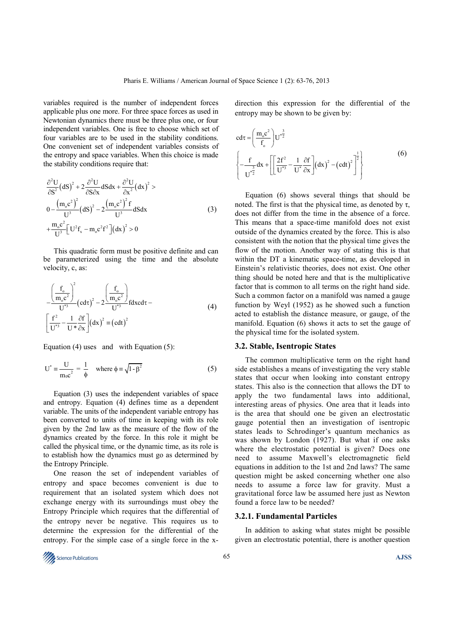variables required is the number of independent forces applicable plus one more. For three space forces as used in Newtonian dynamics there must be three plus one, or four independent variables. One is free to choose which set of four variables are to be used in the stability conditions. One convenient set of independent variables consists of the entropy and space variables. When this choice is made the stability conditions require that:

$$
\frac{\partial^2 U}{\partial S^2} (dS)^2 + 2 \frac{\partial^2 U}{\partial S \partial x} dS dx + \frac{\partial^2 U}{\partial x^2} (dx)^2 >
$$
\n
$$
0 - \frac{(m_0 c^2)^2}{U^3} (dS)^2 - 2 \frac{(m_0 c^2)^2 f}{U^3} dS dx
$$
\n
$$
+ \frac{m_0 c^2}{U^3} \left[ U^2 f_x - m_0 c^2 f^2 \right] (dx)^2 > 0
$$
\n(3)

This quadratic form must be positive definite and can be parameterized using the time and the absolute velocity, c, as:

$$
-\frac{\left(\frac{f_o}{m_o c^2}\right)^2}{U^{*3}} \left(\cot \tau\right)^2 - 2\frac{\left(\frac{f_o}{m_o c^2}\right)}{U^{*3}} \left(\cot \tau - \frac{\left(\frac{f^2}{U^{*3}} - \frac{1}{U^{*3}} \frac{\partial f}{\partial x}\right)}{U^{*3}} \left(\cot \tau\right)^2 \equiv \left(\cot \tau\right)^2 \tag{4}
$$

Equation (4) uses and with Equation  $(5)$ :

$$
U^* = \frac{U}{m_0 c^2} = \frac{1}{\phi} \quad \text{where } \phi = \sqrt{1 - \beta^2} \tag{5}
$$

Equation (3) uses the independent variables of space and entropy. Equation (4) defines time as a dependent variable. The units of the independent variable entropy has been converted to units of time in keeping with its role given by the 2nd law as the measure of the flow of the dynamics created by the force. In this role it might be called the physical time, or the dynamic time, as its role is to establish how the dynamics must go as determined by the Entropy Principle.

One reason the set of independent variables of entropy and space becomes convenient is due to requirement that an isolated system which does not exchange energy with its surroundings must obey the Entropy Principle which requires that the differential of the entropy never be negative. This requires us to determine the expression for the differential of the entropy. For the simple case of a single force in the xdirection this expression for the differential of the entropy may be shown to be given by:

$$
cd\tau = \left(\frac{m_{o}c^{2}}{f_{o}}\right)U^{*\frac{3}{2}}
$$
  

$$
\left\{-\frac{f}{U^{*\frac{3}{2}}}dx + \left[\left[\frac{2f^{2}}{U^{*\frac{3}{2}}}-\frac{1}{U^{*}}\frac{\partial f}{\partial x}\right](dx)^{2}-(cdt)^{2}\right]^{2}\right\}
$$
(6)

Equation (6) shows several things that should be noted. The first is that the physical time, as denoted by  $τ$ , does not differ from the time in the absence of a force. This means that a space-time manifold does not exist outside of the dynamics created by the force. This is also consistent with the notion that the physical time gives the flow of the motion. Another way of stating this is that within the DT a kinematic space-time, as developed in Einstein's relativistic theories, does not exist. One other thing should be noted here and that is the multiplicative factor that is common to all terms on the right hand side. Such a common factor on a manifold was named a gauge function by Weyl (1952) as he showed such a function acted to establish the distance measure, or gauge, of the manifold. Equation (6) shows it acts to set the gauge of the physical time for the isolated system.

## **3.2. Stable, Isentropic States**

The common multiplicative term on the right hand side establishes a means of investigating the very stable states that occur when looking into constant entropy states. This also is the connection that allows the DT to apply the two fundamental laws into additional, interesting areas of physics. One area that it leads into is the area that should one be given an electrostatic gauge potential then an investigation of isentropic states leads to Schrodinger's quantum mechanics as was shown by London (1927). But what if one asks where the electrostatic potential is given? Does one need to assume Maxwell's electromagnetic field equations in addition to the 1st and 2nd laws? The same question might be asked concerning whether one also needs to assume a force law for gravity. Must a gravitational force law be assumed here just as Newton found a force law to be needed?

## **3.2.1. Fundamental Particles**

In addition to asking what states might be possible given an electrostatic potential, there is another question

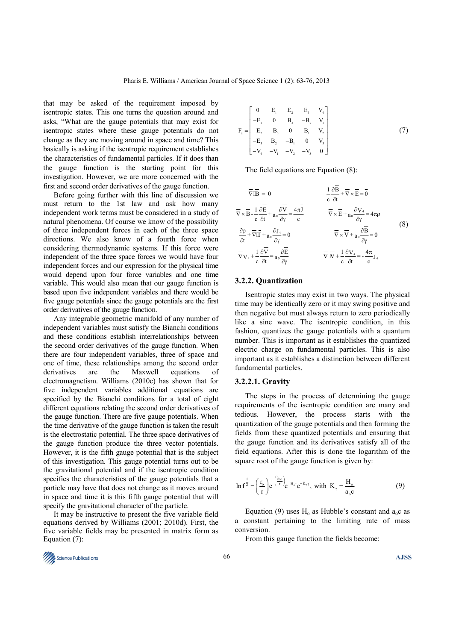that may be asked of the requirement imposed by isentropic states. This one turns the question around and asks, "What are the gauge potentials that may exist for isentropic states where these gauge potentials do not change as they are moving around in space and time? This basically is asking if the isentropic requirement establishes the characteristics of fundamental particles. If it does than the gauge function is the starting point for this investigation. However, we are more concerned with the first and second order derivatives of the gauge function.

Before going further with this line of discussion we must return to the 1st law and ask how many independent work terms must be considered in a study of natural phenomena. Of course we know of the possibility of three independent forces in each of the three space directions. We also know of a fourth force when considering thermodynamic systems. If this force were independent of the three space forces we would have four independent forces and our expression for the physical time would depend upon four force variables and one time variable. This would also mean that our gauge function is based upon five independent variables and there would be five gauge potentials since the gauge potentials are the first order derivatives of the gauge function.

Any integrable geometric manifold of any number of independent variables must satisfy the Bianchi conditions and these conditions establish interrelationships between the second order derivatives of the gauge function. When there are four independent variables, three of space and one of time, these relationships among the second order derivatives are the Maxwell equations of electromagnetism. Williams (2010c) has shown that for five independent variables additional equations are specified by the Bianchi conditions for a total of eight different equations relating the second order derivatives of the gauge function. There are five gauge potentials. When the time derivative of the gauge function is taken the result is the electrostatic potential. The three space derivatives of the gauge function produce the three vector potentials. However, it is the fifth gauge potential that is the subject of this investigation. This gauge potential turns out to be the gravitational potential and if the isentropic condition specifies the characteristics of the gauge potentials that a particle may have that does not change as it moves around in space and time it is this fifth gauge potential that will specify the gravitational character of the particle.

It may be instructive to present the five variable field equations derived by Williams (2001; 2010d). First, the five variable fields may be presented in matrix form as Equation (7):

$$
F_{ij} = \begin{bmatrix} 0 & E_1 & E_2 & E_3 & V_4 \\ -E_1 & 0 & B_3 & -B_2 & V_1 \\ -E_2 & -B_3 & 0 & B_1 & V_2 \\ -E_3 & B_2 & -B_1 & 0 & V_3 \\ -V_4 & -V_1 & -V_2 & -V_3 & 0 \end{bmatrix}
$$
(7)

The field equations are Equation  $(8)$ :

$$
\overline{\nabla} \overline{\mathbf{B}} = 0 \qquad \frac{1}{c} \frac{\partial \mathbf{B}}{\partial t} + \overline{\nabla} \times \overline{\mathbf{E}} = \overline{0}
$$
  

$$
\overline{\nabla} \times \overline{\mathbf{B}} - \frac{1}{c} \frac{\partial \overline{\mathbf{E}}}{\partial t} + \mathbf{a}_0 \frac{\partial \overline{\mathbf{V}}}{\partial \gamma} = \frac{4\pi \overline{\mathbf{J}}}{c}
$$

$$
\frac{\partial \mathbf{p}}{\partial t} + \overline{\nabla} \overline{\mathbf{L}} + \mathbf{a}_0 \frac{\partial \mathbf{J}_4}{\partial \gamma} = 0 \qquad \overline{\nabla} \times \overline{\mathbf{L}} + \mathbf{a}_0 \frac{\partial \mathbf{V}_4}{\partial \gamma} = 4\pi \mathbf{p}
$$
  

$$
\frac{\partial \mathbf{p}}{\partial t} + \overline{\nabla} \overline{\mathbf{L}} + \mathbf{a}_0 \frac{\partial \mathbf{J}_4}{\partial \gamma} = 0 \qquad \overline{\nabla} \times \overline{\mathbf{V}} + \mathbf{a}_0 \frac{\partial \overline{\mathbf{B}}}{\partial \gamma} = 0
$$
  

$$
\overline{\nabla} \mathbf{V}_4 + \frac{1}{c} \frac{\partial \overline{\mathbf{V}}}{\partial t} = \mathbf{a}_0 \frac{\partial \overline{\mathbf{E}}}{\partial \gamma} \qquad \overline{\nabla} \overline{\mathbf{L}} + \frac{1}{c} \frac{\partial \mathbf{V}_4}{\partial t} = -\frac{4\pi}{c} \mathbf{J}_4
$$
 (8)

#### **3.2.2. Quantization**

Isentropic states may exist in two ways. The physical time may be identically zero or it may swing positive and then negative but must always return to zero periodically like a sine wave. The isentropic condition, in this fashion, quantizes the gauge potentials with a quantum number. This is important as it establishes the quantized electric charge on fundamental particles. This is also important as it establishes a distinction between different fundamental particles.

#### **3.2.2.1. Gravity**

The steps in the process of determining the gauge requirements of the isentropic condition are many and tedious. However, the process starts with the quantization of the gauge potentials and then forming the fields from these quantized potentials and ensuring that the gauge function and its derivatives satisfy all of the field equations. After this is done the logarithm of the square root of the gauge function is given by:

$$
\ln f^{\frac{1}{2}} = \left(\frac{r_o}{r}\right) e^{-\left(\frac{\lambda_N}{r}\right)} e^{-H_o t} e^{-K_\gamma \gamma}, \text{ with } K_\gamma = \frac{H_o}{a_o c} \tag{9}
$$

Equation (9) uses  $H_0$  as Hubble's constant and  $a_0c$  as a constant pertaining to the limiting rate of mass conversion.

From this gauge function the fields become:

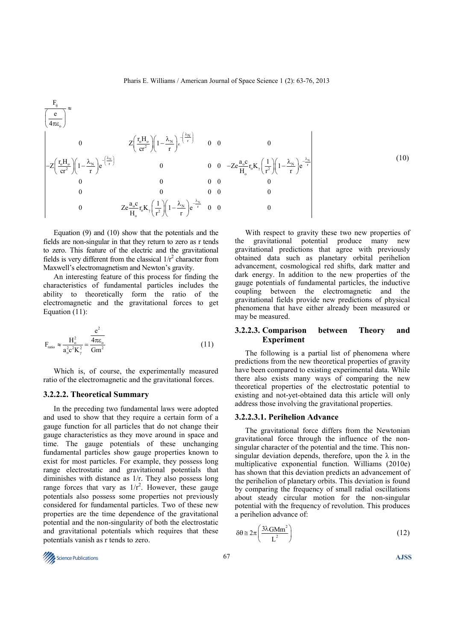$$
\frac{F_{ij}}{\left(\frac{e}{4\pi\epsilon_o}\right)^{\approx}}
$$
\n
$$
Z\left(\frac{r_oH_o}{cr^2}\right)\left(1-\frac{\lambda_N}{r}\right)e^{-\left(\frac{\lambda_N}{r}\right)}
$$
\n
$$
-Z\left(\frac{r_oH_o}{cr^2}\right)\left(1-\frac{\lambda_N}{r}\right)e^{-\left(\frac{\lambda_N}{r}\right)}
$$
\n
$$
0
$$
\n
$$
0
$$
\n
$$
0
$$
\n
$$
0
$$
\n
$$
0
$$
\n
$$
0
$$
\n
$$
0
$$
\n
$$
0
$$
\n
$$
0
$$
\n
$$
0
$$
\n
$$
0
$$
\n
$$
0
$$
\n
$$
0
$$
\n
$$
0
$$
\n
$$
0
$$
\n
$$
0
$$
\n
$$
0
$$
\n
$$
0
$$
\n
$$
0
$$
\n
$$
0
$$
\n
$$
0
$$
\n
$$
0
$$
\n
$$
0
$$
\n
$$
0
$$
\n
$$
0
$$
\n
$$
0
$$
\n
$$
0
$$
\n
$$
0
$$
\n
$$
0
$$
\n
$$
0
$$
\n
$$
0
$$
\n
$$
0
$$
\n
$$
0
$$
\n
$$
0
$$
\n
$$
0
$$
\n
$$
0
$$
\n
$$
0
$$
\n
$$
0
$$
\n
$$
0
$$
\n
$$
0
$$
\n
$$
0
$$
\n
$$
0
$$
\n
$$
0
$$
\n
$$
0
$$
\n
$$
0
$$
\n
$$
0
$$
\n
$$
0
$$
\n
$$
0
$$
\n
$$
0
$$
\n
$$
0
$$
\n
$$
0
$$
\n
$$
0
$$
\n
$$
0
$$
\n
$$
0
$$
\n
$$
0
$$
\n
$$
0
$$
\n
$$
0
$$
\

Equation (9) and (10) show that the potentials and the fields are non-singular in that they return to zero as r tends to zero. This feature of the electric and the gravitational fields is very different from the classical  $1/r^2$  character from Maxwell's electromagnetism and Newton's gravity.

An interesting feature of this process for finding the characteristics of fundamental particles includes the ability to theoretically form the ratio of the electromagnetic and the gravitational forces to get Equation (11):

$$
F_{\text{ratio}} \approx \frac{H_o^2}{a_o^2 c^2 K_\gamma^2} = \frac{e^2}{Gm^2}
$$
 (11)

Which is, of course, the experimentally measured ratio of the electromagnetic and the gravitational forces.

#### **3.2.2.2. Theoretical Summary**

In the preceding two fundamental laws were adopted and used to show that they require a certain form of a gauge function for all particles that do not change their gauge characteristics as they move around in space and time. The gauge potentials of these unchanging fundamental particles show gauge properties known to exist for most particles. For example, they possess long range electrostatic and gravitational potentials that diminishes with distance as 1/r. They also possess long range forces that vary as  $1/r^2$ . However, these gauge potentials also possess some properties not previously considered for fundamental particles. Two of these new properties are the time dependence of the gravitational potential and the non-singularity of both the electrostatic and gravitational potentials which requires that these potentials vanish as r tends to zero.

With respect to gravity these two new properties of the gravitational potential produce many new gravitational predictions that agree with previously obtained data such as planetary orbital perihelion advancement, cosmological red shifts, dark matter and dark energy. In addition to the new properties of the gauge potentials of fundamental particles, the inductive coupling between the electromagnetic and the gravitational fields provide new predictions of physical phenomena that have either already been measured or may be measured.

## **3.2.2.3. Comparison between Theory and Experiment**

The following is a partial list of phenomena where predictions from the new theoretical properties of gravity have been compared to existing experimental data. While there also exists many ways of comparing the new theoretical properties of the electrostatic potential to existing and not-yet-obtained data this article will only address those involving the gravitational properties.

#### **3.2.2.3.1. Perihelion Advance**

The gravitational force differs from the Newtonian gravitational force through the influence of the nonsingular character of the potential and the time. This nonsingular deviation depends, therefore, upon the  $\lambda$  in the multiplicative exponential function. Williams (2010e) has shown that this deviation predicts an advancement of the perihelion of planetary orbits. This deviation is found by comparing the frequency of small radial oscillations about steady circular motion for the non-singular potential with the frequency of revolution. This produces a perihelion advance of:

$$
\delta\theta \approx 2\pi \left(\frac{3\lambda\text{G}\text{M}\text{m}^2}{L^2}\right) \tag{12}
$$



 $\mathbb{R}^2$ 

(10)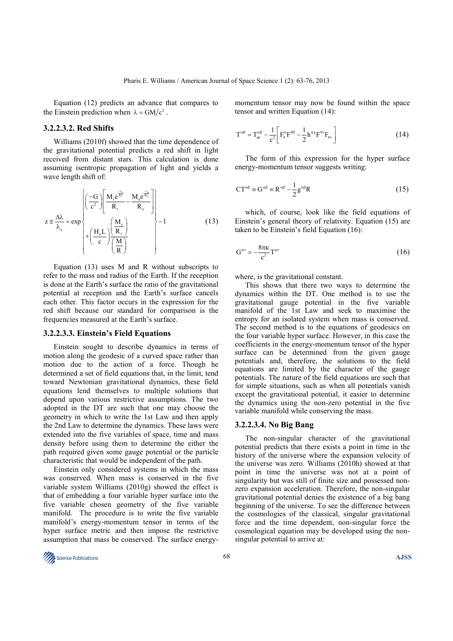Equation (12) predicts an advance that compares to the Einstein prediction when  $\lambda = GM/c^2$ .

## **3.2.2.3.2. Red Shifts**

Williams (2010f) showed that the time dependence of the gravitational potential predicts a red shift in light received from distant stars. This calculation is done assuming isentropic propagation of light and yields a wave length shift of:

$$
z \approx \frac{\Delta\lambda}{\lambda_e} = \exp\left\{\begin{pmatrix} -G\\ \overline{c}^2 \end{pmatrix} \begin{bmatrix} \frac{M_r e^{\frac{-\lambda_r}{R_r}}}{R_r} - \frac{M_e e^{\frac{-\lambda_e}{R_e}}}{R_e} \\ R_r \end{bmatrix} - 1 \right\}
$$
(13)

Equation (13) uses M and R without subscripts to refer to the mass and radius of the Earth. If the reception is done at the Earth's surface the ratio of the gravitational potential at reception and the Earth's surface cancels each other. This factor occurs in the expression for the red shift because our standard for comparison is the frequencies measured at the Earth's surface.

#### **3.2.2.3.3. Einstein's Field Equations**

Einstein sought to describe dynamics in terms of motion along the geodesic of a curved space rather than motion due to the action of a force. Though he determined a set of field equations that, in the limit, tend toward Newtonian gravitational dynamics, these field equations lend themselves to multiple solutions that depend upon various restrictive assumptions. The two adopted in the DT are such that one may choose the geometry in which to write the 1st Law and then apply the 2nd Law to determine the dynamics. These laws were extended into the five variables of space, time and mass density before using them to determine the either the path required given some gauge potential or the particle characteristic that would be independent of the path.

Einstein only considered systems in which the mass was conserved. When mass is conserved in the five variable system Williams (2010g) showed the effect is that of embedding a four variable hyper surface into the five variable chosen geometry of the five variable manifold. The procedure is to write the five variable manifold's energy-momentum tensor in terms of the hyper surface metric and then impose the restrictive assumption that mass be conserved. The surface energymomentum tensor may now be found within the space tensor and written Equation (14):

$$
T^{\alpha\beta} = T_{sp}^{\alpha\beta} - \frac{1}{c^2} \left[ F_4^{\alpha} F^{4\beta} - \frac{1}{2} h^{\alpha\chi} F^{4\gamma} F_{4\gamma} \right]
$$
 (14)

The form of this expression for the hyper surface energy-momentum tensor suggests writing:

$$
CT^{\alpha\beta} \equiv G^{\alpha\beta} \equiv R^{\alpha\beta} - \frac{1}{2}g^{\alpha\beta}R
$$
 (15)

which, of course, look like the field equations of Einstein's general theory of relativity. Equation (15) are taken to be Einstein's field Equation (16):

$$
G^{\mu\nu} = -\frac{8\pi\kappa}{c^2}T^{\mu\nu} \tag{16}
$$

where, is the gravitational constant.

This shows that there two ways to determine the dynamics within the DT. One method is to use the gravitational gauge potential in the five variable manifold of the 1st Law and seek to maximise the entropy for an isolated system when mass is conserved. The second method is to the equations of geodesics on the four variable hyper surface. However, in this case the coefficients in the energy-momentum tensor of the hyper surface can be determined from the given gauge potentials and, therefore, the solutions to the field equations are limited by the character of the gauge potentials. The nature of the field equations are such that for simple situations, such as when all potentials vanish except the gravitational potential, it easier to determine the dynamics using the non-zero potential in the five variable manifold while conserving the mass.

#### **3.2.2.3.4. No Big Bang**

The non-singular character of the gravitational potential predicts that there exists a point in time in the history of the universe where the expansion velocity of the universe was zero. Williams (2010h) showed at that point in time the universe was not at a point of singularity but was still of finite size and possessed nonzero expansion acceleration. Therefore, the non-singular gravitational potential denies the existence of a big bang beginning of the universe. To see the difference between the cosmologies of the classical, singular gravitational force and the time dependent, non-singular force the cosmological equation may be developed using the nonsingular potential to arrive at:

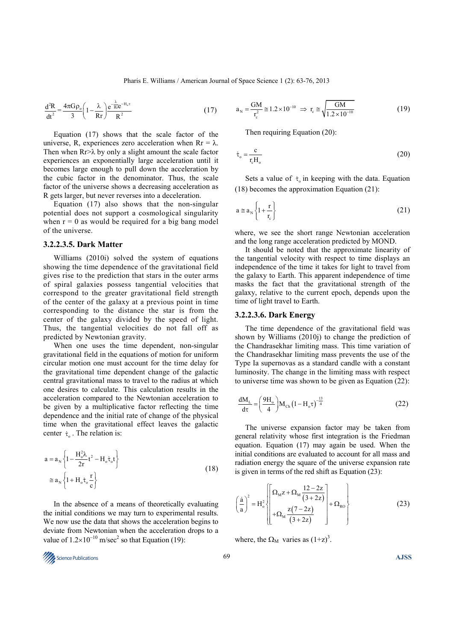$$
\frac{d^2R}{dt^2} = \frac{4\pi G\rho_o}{3} \left(1 - \frac{\lambda}{Rr}\right) \frac{e^{-\frac{\lambda}{Rr}}e^{-H_o\tau}}{R^2}
$$
(17)

Equation (17) shows that the scale factor of the universe, R, experiences zero acceleration when  $Rr = \lambda$ . Then when  $Rr > \lambda$  by only a slight amount the scale factor experiences an exponentially large acceleration until it becomes large enough to pull down the acceleration by the cubic factor in the denominator. Thus, the scale factor of the universe shows a decreasing acceleration as R gets larger, but never reverses into a deceleration.

Equation (17) also shows that the non-singular potential does not support a cosmological singularity when  $r = 0$  as would be required for a big bang model of the universe.

## **3.2.2.3.5. Dark Matter**

Williams (2010i) solved the system of equations showing the time dependence of the gravitational field gives rise to the prediction that stars in the outer arms of spiral galaxies possess tangential velocities that correspond to the greater gravitational field strength of the center of the galaxy at a previous point in time corresponding to the distance the star is from the center of the galaxy divided by the speed of light. Thus, the tangential velocities do not fall off as predicted by Newtonian gravity.

When one uses the time dependent, non-singular gravitational field in the equations of motion for uniform circular motion one must account for the time delay for the gravitational time dependent change of the galactic central gravitational mass to travel to the radius at which one desires to calculate. This calculation results in the acceleration compared to the Newtonian acceleration to be given by a multiplicative factor reflecting the time dependence and the initial rate of change of the physical time when the gravitational effect leaves the galactic center  $\dot{\tau}_{0}$ . The relation is:

$$
a = a_N \left\{ 1 - \frac{H_o^2 \lambda}{2r} t^2 - H_o \dot{\tau}_o t \right\}
$$
  

$$
\approx a_N \left\{ 1 + H_o \dot{\tau}_o \frac{r}{c} \right\}
$$
 (18)

In the absence of a means of theoretically evaluating the initial conditions we may turn to experimental results. We now use the data that shows the acceleration begins to deviate from Newtonian when the acceleration drops to a value of  $1.2 \times 10^{-10}$  m/sec<sup>2</sup> so that Equation (19):

$$
a_{N} = \frac{GM}{r_{c}^{2}} \approx 1.2 \times 10^{-10} \implies r_{c} \approx \sqrt{\frac{GM}{1.2 \times 10^{-10}}}
$$
(19)

Then requiring Equation (20):

$$
\dot{\tau}_o = \frac{c}{r_c H_o} \tag{20}
$$

Sets a value of  $\dot{\tau}_{0}$  in keeping with the data. Equation (18) becomes the approximation Equation (21):

$$
a \cong a_{N} \left\{ 1 + \frac{r}{r_{c}} \right\}
$$
 (21)

where, we see the short range Newtonian acceleration and the long range acceleration predicted by MOND.

It should be noted that the approximate linearity of the tangential velocity with respect to time displays an independence of the time it takes for light to travel from the galaxy to Earth. This apparent independence of time masks the fact that the gravitational strength of the galaxy, relative to the current epoch, depends upon the time of light travel to Earth.

## **3.2.2.3.6. Dark Energy**

The time dependence of the gravitational field was shown by Williams (2010j) to change the prediction of the Chandrasekhar limiting mass. This time variation of the Chandrasekhar limiting mass prevents the use of the Type Ia supernovas as a standard candle with a constant luminosity. The change in the limiting mass with respect to universe time was shown to be given as Equation (22):

$$
\frac{dM_{L}}{d\tau} = \left(\frac{9H_{o}}{4}\right)M_{Ch}\left(1 - H_{o}\tau\right)^{-\frac{13}{4}}
$$
\n(22)

The universe expansion factor may be taken from general relativity whose first integration is the Friedman equation. Equation (17) may again be used. When the initial conditions are evaluated to account for all mass and radiation energy the square of the universe expansion rate is given in terms of the red shift as Equation (23):

$$
\left(\frac{\dot{a}}{a}\right)^2 = H_o^2 \left\{\n\begin{bmatrix}\n\Omega_M z + \Omega_M \frac{12 - 2z}{(3 + 2z)} \\
+ \Omega_M \frac{z(7 - 2z)}{(3 + 2z)}\n\end{bmatrix} + \Omega_{RO}\n\right\}
$$
\n(23)

where, the  $\Omega_M$  varies as  $(1+z)^3$ .

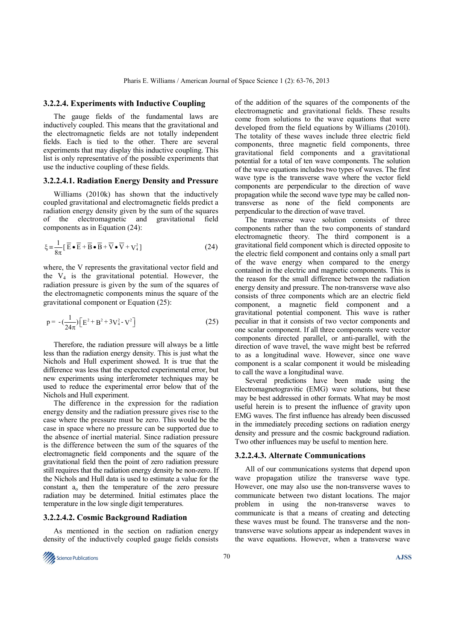#### **3.2.2.4. Experiments with Inductive Coupling**

The gauge fields of the fundamental laws are inductively coupled. This means that the gravitational and the electromagnetic fields are not totally independent fields. Each is tied to the other. There are several experiments that may display this inductive coupling. This list is only representative of the possible experiments that use the inductive coupling of these fields.

#### **3.2.2.4.1. Radiation Energy Density and Pressure**

Williams (2010k) has shown that the inductively coupled gravitational and electromagnetic fields predict a radiation energy density given by the sum of the squares of the electromagnetic and gravitational field components as in Equation (24):

$$
\xi = \frac{1}{8\pi} \left[ \overline{E} \bullet \overline{E} + \overline{B} \bullet \overline{B} + \overline{V} \bullet \overline{V} + V_4^2 \right]
$$
 (24)

where, the V represents the gravitational vector field and the  $V_4$  is the gravitational potential. However, the radiation pressure is given by the sum of the squares of the electromagnetic components minus the square of the gravitational component or Equation (25):

$$
p = -\left(\frac{1}{24\pi}\right) \left[E^2 + B^2 + 3V_4^2 - V^2\right]
$$
 (25)

Therefore, the radiation pressure will always be a little less than the radiation energy density. This is just what the Nichols and Hull experiment showed. It is true that the difference was less that the expected experimental error, but new experiments using interferometer techniques may be used to reduce the experimental error below that of the Nichols and Hull experiment.

The difference in the expression for the radiation energy density and the radiation pressure gives rise to the case where the pressure must be zero. This would be the case in space where no pressure can be supported due to the absence of inertial material. Since radiation pressure is the difference between the sum of the squares of the electromagnetic field components and the square of the gravitational field then the point of zero radiation pressure still requires that the radiation energy density be non-zero. If the Nichols and Hull data is used to estimate a value for the constant  $a_0$  then the temperature of the zero pressure radiation may be determined. Initial estimates place the temperature in the low single digit temperatures.

#### **3.2.2.4.2. Cosmic Background Radiation**

As mentioned in the section on radiation energy density of the inductively coupled gauge fields consists



of the addition of the squares of the components of the electromagnetic and gravitational fields. These results come from solutions to the wave equations that were developed from the field equations by Williams (2010l). The totality of these waves include three electric field components, three magnetic field components, three gravitational field components and a gravitational potential for a total of ten wave components. The solution of the wave equations includes two types of waves. The first wave type is the transverse wave where the vector field components are perpendicular to the direction of wave propagation while the second wave type may be called nontransverse as none of the field components are perpendicular to the direction of wave travel.

The transverse wave solution consists of three components rather than the two components of standard electromagnetic theory. The third component is a gravitational field component which is directed opposite to the electric field component and contains only a small part of the wave energy when compared to the energy contained in the electric and magnetic components. This is the reason for the small difference between the radiation energy density and pressure. The non-transverse wave also consists of three components which are an electric field component, a magnetic field component and a gravitational potential component. This wave is rather peculiar in that it consists of two vector components and one scalar component. If all three components were vector components directed parallel, or anti-parallel, with the direction of wave travel, the wave might best be referred to as a longitudinal wave. However, since one wave component is a scalar component it would be misleading to call the wave a longitudinal wave.

Several predictions have been made using the Electromagnetogravitic (EMG) wave solutions, but these may be best addressed in other formats. What may be most useful herein is to present the influence of gravity upon EMG waves. The first influence has already been discussed in the immediately preceding sections on radiation energy density and pressure and the cosmic background radiation. Two other influences may be useful to mention here.

#### **3.2.2.4.3. Alternate Communications**

All of our communications systems that depend upon wave propagation utilize the transverse wave type. However, one may also use the non-transverse waves to communicate between two distant locations. The major problem in using the non-transverse waves to communicate is that a means of creating and detecting these waves must be found. The transverse and the nontransverse wave solutions appear as independent waves in the wave equations. However, when a transverse wave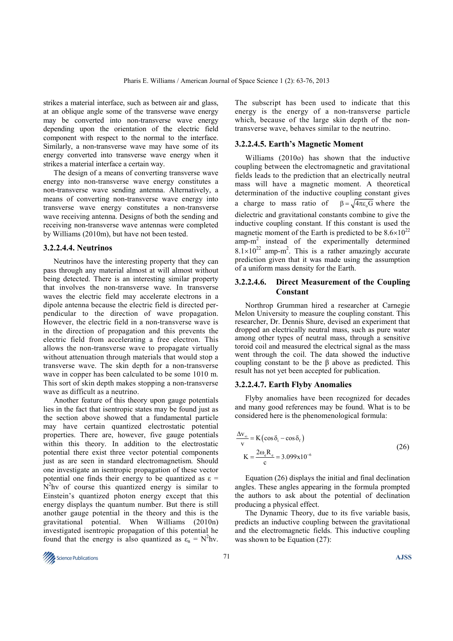strikes a material interface, such as between air and glass, at an oblique angle some of the transverse wave energy may be converted into non-transverse wave energy depending upon the orientation of the electric field component with respect to the normal to the interface. Similarly, a non-transverse wave may have some of its energy converted into transverse wave energy when it strikes a material interface a certain way.

The design of a means of converting transverse wave energy into non-transverse wave energy constitutes a non-transverse wave sending antenna. Alternatively, a means of converting non-transverse wave energy into transverse wave energy constitutes a non-transverse wave receiving antenna. Designs of both the sending and receiving non-transverse wave antennas were completed by Williams (2010m), but have not been tested.

## **3.2.2.4.4. Neutrinos**

Neutrinos have the interesting property that they can pass through any material almost at will almost without being detected. There is an interesting similar property that involves the non-transverse wave. In transverse waves the electric field may accelerate electrons in a dipole antenna because the electric field is directed perpendicular to the direction of wave propagation. However, the electric field in a non-transverse wave is in the direction of propagation and this prevents the electric field from accelerating a free electron. This allows the non-transverse wave to propagate virtually without attenuation through materials that would stop a transverse wave. The skin depth for a non-transverse wave in copper has been calculated to be some 1010 m. This sort of skin depth makes stopping a non-transverse wave as difficult as a neutrino.

Another feature of this theory upon gauge potentials lies in the fact that isentropic states may be found just as the section above showed that a fundamental particle may have certain quantized electrostatic potential properties. There are, however, five gauge potentials within this theory. In addition to the electrostatic potential there exist three vector potential components just as are seen in standard electromagnetism. Should one investigate an isentropic propagation of these vector potential one finds their energy to be quantized as  $\varepsilon$  =  $N<sup>2</sup>$ hv of course this quantized energy is similar to Einstein's quantized photon energy except that this energy displays the quantum number. But there is still another gauge potential in the theory and this is the gravitational potential. When Williams (2010n) investigated isentropic propagation of this potential he found that the energy is also quantized as  $\varepsilon_n = N^2$ hv.

**The Science Publications AJSS AJSS** 

The subscript has been used to indicate that this energy is the energy of a non-transverse particle which, because of the large skin depth of the nontransverse wave, behaves similar to the neutrino.

#### **3.2.2.4.5. Earth's Magnetic Moment**

Williams (2010o) has shown that the inductive coupling between the electromagnetic and gravitational fields leads to the prediction that an electrically neutral mass will have a magnetic moment. A theoretical determination of the inductive coupling constant gives a charge to mass ratio of  $\beta = \sqrt{4\pi \epsilon_0 G}$  where the dielectric and gravitational constants combine to give the inductive coupling constant. If this constant is used the magnetic moment of the Earth is predicted to be  $8.6\times10^{22}$ amp-m<sup>2</sup> instead of the experimentally determined  $8.1 \times 10^{22}$  amp-m<sup>2</sup>. This is a rather amazingly accurate prediction given that it was made using the assumption of a uniform mass density for the Earth.

## **3.2.2.4.6. Direct Measurement of the Coupling Constant**

Northrop Grumman hired a researcher at Carnegie Melon University to measure the coupling constant. This researcher, Dr. Dennis Shure, devised an experiment that dropped an electrically neutral mass, such as pure water among other types of neutral mass, through a sensitive toroid coil and measured the electrical signal as the mass went through the coil. The data showed the inductive coupling constant to be the β above as predicted. This result has not yet been accepted for publication.

#### **3.2.2.4.7. Earth Flyby Anomalies**

Flyby anomalies have been recognized for decades and many good references may be found. What is to be considered here is the phenomenological formula:

$$
\frac{\Delta v_{\infty}}{v} = K \left( \cos \delta_{i} - \cos \delta_{r} \right)
$$
  

$$
K = \frac{2\omega_{e}R_{e}}{c} = 3.099x10^{-6}
$$
 (26)

Equation (26) displays the initial and final declination angles. These angles appearing in the formula prompted the authors to ask about the potential of declination producing a physical effect.

The Dynamic Theory, due to its five variable basis, predicts an inductive coupling between the gravitational and the electromagnetic fields. This inductive coupling was shown to be Equation (27):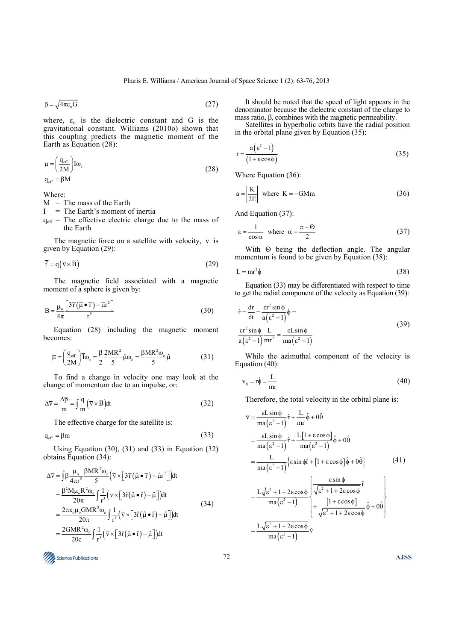$$
\beta = \sqrt{4\pi\varepsilon_{0}G} \tag{27}
$$

where,  $\varepsilon_0$  is the dielectric constant and G is the gravitational constant. Williams (2010o) shown that this coupling predicts the magnetic moment of the Earth as Equation (28):

$$
\mu = \left(\frac{q_{\text{eff}}}{2M}\right) I \omega_{\text{e}}
$$
\n
$$
q_{\text{eff}} = \beta M
$$
\n(28)

Where:

- $M =$ The mass of the Earth
- $I =$ The Earth's moment of inertia
- $q_{\text{eff}}$  = The effective electric charge due to the mass of the Earth

The magnetic force on a satellite with velocity,  $\overline{v}$  is given by Equation (29):

$$
\overline{f} = q(\overline{v} \times \overline{B}) \tag{29}
$$

The magnetic field associated with a magnetic moment of a sphere is given by:

$$
\overline{B} = \frac{\mu_o}{4\pi} \frac{\left[3\overline{r}(\overline{\mu} \bullet \overline{r}) - \overline{\mu}r^2\right]}{r^5}
$$
(30)

Equation (28) including the magnetic moment becomes:

$$
\overline{\mu} = \left(\frac{q_{\text{eff}}}{2M}\right) \overline{I}_{\omega_e} = \frac{\beta}{2} \frac{2MR^2}{5} \hat{\mu}_{\omega_e} = \frac{\beta MR^2 \omega_e}{5} \hat{\mu}
$$
 (31)

To find a change in velocity one may look at the change of momentum due to an impulse, or:

$$
\Delta \overline{v} = \frac{\Delta \overline{p}}{m} = \int \frac{q}{m} (\overline{v} \times \overline{B}) dt
$$
 (32)

The effective charge for the satellite is:

$$
q_{\text{eff}} = \beta m \tag{33}
$$

Using Equation  $(30)$ ,  $(31)$  and  $(33)$  in Equation  $(32)$ obtains Equation (34):

$$
\Delta \overline{v} = \int \beta \frac{\mu_o}{4\pi r^5} \frac{\beta MR^2 \omega_e}{5} \left( \overline{v} \times \left[ 3\overline{r} (\hat{\mu} \bullet \overline{r}) - \hat{\mu} r^2 \right] \right) dt
$$
  
\n
$$
= \frac{\beta^2 M \mu_o R^2 \omega_e}{20\pi} \int \frac{1}{r^3} \left( \overline{v} \times \left[ 3\hat{r} (\hat{\mu} \bullet \hat{r}) - \hat{\mu} \right] \right) dt
$$
  
\n
$$
= \frac{2\pi \epsilon_o \mu_o GMR^2 \omega_e}{20\pi} \int \frac{1}{r^3} \left( \overline{v} \times \left[ 3\hat{r} (\hat{\mu} \bullet \hat{r}) - \hat{\mu} \right] \right) dt
$$
  
\n
$$
= \frac{2GMR^2 \omega_e}{20c} \int \frac{1}{r^3} \left( \overline{v} \times \left[ 3\hat{r} (\hat{\mu} \bullet \hat{r}) - \hat{\mu} \right] \right) dt
$$
  
\n(34)

**The Science Publications AJSS AJSS** 

It should be noted that the speed of light appears in the denominator because the dielectric constant of the charge to mass ratio,  $β$ , combines with the magnetic permeability.

Satellites in hyperbolic orbits have the radial position in the orbital plane given by Equation (35):

$$
r = \frac{a(\varepsilon^2 - 1)}{(1 + \varepsilon \cos \phi)}
$$
 (35)

Where Equation (36):

$$
a = \left| \frac{K}{2E} \right| \text{ where } K = -GMm \tag{36}
$$

And Equation (37):

$$
\varepsilon = \frac{1}{\cos \alpha} \quad \text{where} \quad \alpha = \frac{\pi - \Theta}{2} \tag{37}
$$

With Θ being the deflection angle. The angular momentum is found to be given by Equation (38):

$$
L = mr^2 \dot{\phi} \tag{38}
$$

Equation (33) may be differentiated with respect to time to get the radial component of the velocity as Equation (39):

$$
\dot{\mathbf{r}} = \frac{\mathbf{dr}}{\mathbf{dt}} = \frac{\mathbf{r}^2 \sin \phi}{\mathbf{a} (\varepsilon^2 - 1)} \dot{\phi} =
$$
\n
$$
\frac{\mathbf{r}^2 \sin \phi}{\mathbf{a} (\varepsilon^2 - 1)} \frac{\mathbf{L}}{\mathbf{m} \mathbf{r}^2} = \frac{\mathbf{\varepsilon} \mathbf{L} \sin \phi}{\mathbf{m} (\varepsilon^2 - 1)}
$$
\n(39)

While the azimuthal component of the velocity is Equation (40):

$$
v_{\phi} = r\dot{\phi} = \frac{L}{mr} \tag{40}
$$

Therefore, the total velocity in the orbital plane is:

$$
\overline{v} = \frac{\epsilon L \sin \phi}{ma(\epsilon^2 - 1)} \hat{r} + \frac{L}{mr} \hat{\phi} + 0 \hat{\theta}
$$
  
\n
$$
= \frac{\epsilon L \sin \phi}{ma(\epsilon^2 - 1)} \hat{r} + \frac{L[1 + \epsilon \cos \phi]}{ma(\epsilon^2 - 1)} \hat{\phi} + 0 \hat{\theta}
$$
  
\n
$$
= \frac{L}{ma(\epsilon^2 - 1)} \{ \epsilon \sin \phi \hat{r} + [1 + \epsilon \cos \phi] \hat{\phi} + 0 \hat{\theta} \}
$$
(41)  
\n
$$
= \frac{L\sqrt{\epsilon^2 + 1 + 2\epsilon \cos \phi}}{ma(\epsilon^2 - 1)} \sqrt{\frac{\epsilon \sin \phi}{\sqrt{\epsilon^2 + 1 + 2\epsilon \cos \phi}} \hat{r}}
$$
  
\n
$$
= \frac{[1 + \epsilon \cos \phi]}{ma(\epsilon^2 - 1)} \hat{\phi} + 0 \hat{\theta}
$$

$$
= \frac{L\sqrt{\varepsilon^2 + 1 + 2\varepsilon\cos\phi}}{\mathrm{ma}\left(\varepsilon^2 - 1\right)} \hat{\mathbf{v}}
$$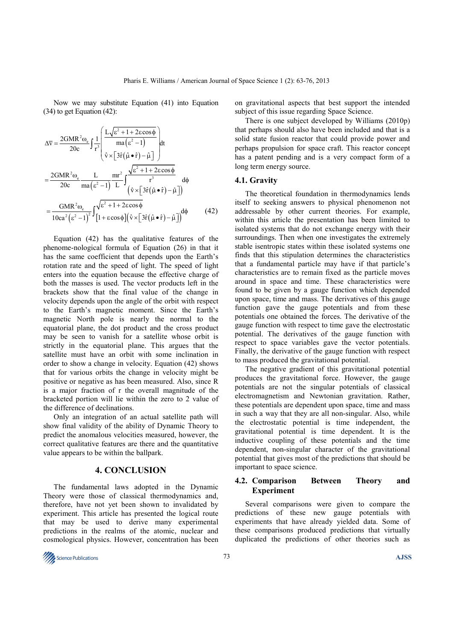Now we may substitute Equation (41) into Equation (34) to get Equation (42):

$$
\Delta \overline{v} = \frac{2GMR^2 \omega_e}{20c} \int \frac{1}{r^3} \left( \frac{L\sqrt{\epsilon^2 + 1 + 2\epsilon \cos \phi}}{\text{ma}(\epsilon^2 - 1)} \right) dt
$$

$$
= \frac{2GMR^2 \omega_e}{20c} \frac{L}{\text{ma}(\epsilon^2 - 1)} \frac{\text{mr}^2}{L} \int \frac{\sqrt{\epsilon^2 + 1 + 2\epsilon \cos \phi}}{r^3} d\phi
$$

$$
= \frac{GMR^2 \omega_e}{10ca^2(\epsilon^2 - 1)^2} \int \frac{\sqrt{\epsilon^2 + 1 + 2\epsilon \cos \phi}}{[1 + \epsilon \cos \phi](\hat{v} \times [3\hat{r}(\hat{\mu} \cdot \hat{r}) - \hat{\mu}])} d\phi \tag{42}
$$

Equation (42) has the qualitative features of the phenome-nological formula of Equation (26) in that it has the same coefficient that depends upon the Earth's rotation rate and the speed of light. The speed of light enters into the equation because the effective charge of both the masses is used. The vector products left in the brackets show that the final value of the change in velocity depends upon the angle of the orbit with respect to the Earth's magnetic moment. Since the Earth's magnetic North pole is nearly the normal to the equatorial plane, the dot product and the cross product may be seen to vanish for a satellite whose orbit is strictly in the equatorial plane. This argues that the satellite must have an orbit with some inclination in order to show a change in velocity. Equation (42) shows that for various orbits the change in velocity might be positive or negative as has been measured. Also, since R is a major fraction of r the overall magnitude of the bracketed portion will lie within the zero to 2 value of the difference of declinations.

Only an integration of an actual satellite path will show final validity of the ability of Dynamic Theory to predict the anomalous velocities measured, however, the correct qualitative features are there and the quantitative value appears to be within the ballpark.

## **4. CONCLUSION**

The fundamental laws adopted in the Dynamic Theory were those of classical thermodynamics and, therefore, have not yet been shown to invalidated by experiment. This article has presented the logical route that may be used to derive many experimental predictions in the realms of the atomic, nuclear and cosmological physics. However, concentration has been on gravitational aspects that best support the intended subject of this issue regarding Space Science.

There is one subject developed by Williams (2010p) that perhaps should also have been included and that is a solid state fusion reactor that could provide power and perhaps propulsion for space craft. This reactor concept has a patent pending and is a very compact form of a long term energy source.

## **4.1. Gravity**

The theoretical foundation in thermodynamics lends itself to seeking answers to physical phenomenon not addressable by other current theories. For example, within this article the presentation has been limited to isolated systems that do not exchange energy with their surroundings. Then when one investigates the extremely stable isentropic states within these isolated systems one finds that this stipulation determines the characteristics that a fundamental particle may have if that particle's characteristics are to remain fixed as the particle moves around in space and time. These characteristics were found to be given by a gauge function which depended upon space, time and mass. The derivatives of this gauge function gave the gauge potentials and from these potentials one obtained the forces. The derivative of the gauge function with respect to time gave the electrostatic potential. The derivatives of the gauge function with respect to space variables gave the vector potentials. Finally, the derivative of the gauge function with respect to mass produced the gravitational potential.

The negative gradient of this gravitational potential produces the gravitational force. However, the gauge potentials are not the singular potentials of classical electromagnetism and Newtonian gravitation. Rather, these potentials are dependent upon space, time and mass in such a way that they are all non-singular. Also, while the electrostatic potential is time independent, the gravitational potential is time dependent. It is the inductive coupling of these potentials and the time dependent, non-singular character of the gravitational potential that gives most of the predictions that should be important to space science.

## **4.2. Comparison Between Theory and Experiment**

Several comparisons were given to compare the predictions of these new gauge potentials with experiments that have already yielded data. Some of these comparisons produced predictions that virtually duplicated the predictions of other theories such as

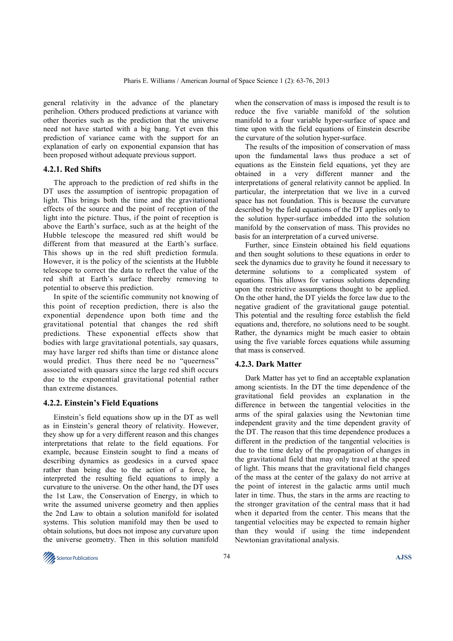general relativity in the advance of the planetary perihelion. Others produced predictions at variance with other theories such as the prediction that the universe need not have started with a big bang. Yet even this prediction of variance came with the support for an explanation of early on exponential expansion that has been proposed without adequate previous support.

## **4.2.1. Red Shifts**

The approach to the prediction of red shifts in the DT uses the assumption of isentropic propagation of light. This brings both the time and the gravitational effects of the source and the point of reception of the light into the picture. Thus, if the point of reception is above the Earth's surface, such as at the height of the Hubble telescope the measured red shift would be different from that measured at the Earth's surface. This shows up in the red shift prediction formula. However, it is the policy of the scientists at the Hubble telescope to correct the data to reflect the value of the red shift at Earth's surface thereby removing to potential to observe this prediction.

In spite of the scientific community not knowing of this point of reception prediction, there is also the exponential dependence upon both time and the gravitational potential that changes the red shift predictions. These exponential effects show that bodies with large gravitational potentials, say quasars, may have larger red shifts than time or distance alone would predict. Thus there need be no "queerness" associated with quasars since the large red shift occurs due to the exponential gravitational potential rather than extreme distances.

# **4.2.2. Einstein's Field Equations**

Einstein's field equations show up in the DT as well as in Einstein's general theory of relativity. However, they show up for a very different reason and this changes interpretations that relate to the field equations. For example, because Einstein sought to find a means of describing dynamics as geodesics in a curved space rather than being due to the action of a force, he interpreted the resulting field equations to imply a curvature to the universe. On the other hand, the DT uses the 1st Law, the Conservation of Energy, in which to write the assumed universe geometry and then applies the 2nd Law to obtain a solution manifold for isolated systems. This solution manifold may then be used to obtain solutions, but does not impose any curvature upon the universe geometry. Then in this solution manifold

when the conservation of mass is imposed the result is to reduce the five variable manifold of the solution manifold to a four variable hyper-surface of space and time upon with the field equations of Einstein describe the curvature of the solution hyper-surface.

The results of the imposition of conservation of mass upon the fundamental laws thus produce a set of equations as the Einstein field equations, yet they are obtained in a very different manner and the interpretations of general relativity cannot be applied. In particular, the interpretation that we live in a curved space has not foundation. This is because the curvature described by the field equations of the DT applies only to the solution hyper-surface imbedded into the solution manifold by the conservation of mass. This provides no basis for an interpretation of a curved universe.

Further, since Einstein obtained his field equations and then sought solutions to these equations in order to seek the dynamics due to gravity he found it necessary to determine solutions to a complicated system of equations. This allows for various solutions depending upon the restrictive assumptions thought to be applied. On the other hand, the DT yields the force law due to the negative gradient of the gravitational gauge potential. This potential and the resulting force establish the field equations and, therefore, no solutions need to be sought. Rather, the dynamics might be much easier to obtain using the five variable forces equations while assuming that mass is conserved.

## **4.2.3. Dark Matter**

Dark Matter has yet to find an acceptable explanation among scientists. In the DT the time dependence of the gravitational field provides an explanation in the difference in between the tangential velocities in the arms of the spiral galaxies using the Newtonian time independent gravity and the time dependent gravity of the DT. The reason that this time dependence produces a different in the prediction of the tangential velocities is due to the time delay of the propagation of changes in the gravitational field that may only travel at the speed of light. This means that the gravitational field changes of the mass at the center of the galaxy do not arrive at the point of interest in the galactic arms until much later in time. Thus, the stars in the arms are reacting to the stronger gravitation of the central mass that it had when it departed from the center. This means that the tangential velocities may be expected to remain higher than they would if using the time independent Newtonian gravitational analysis.

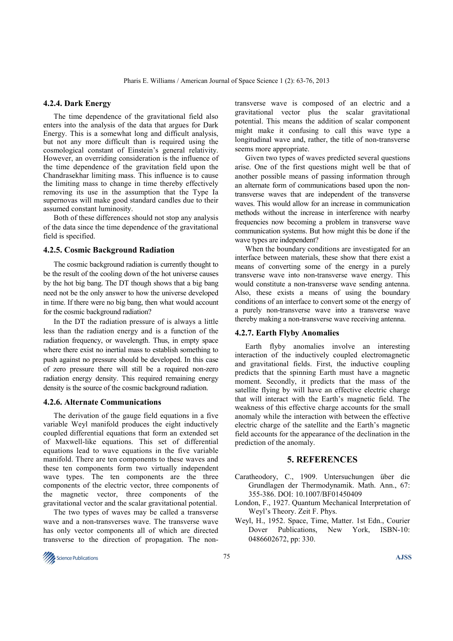## **4.2.4. Dark Energy**

The time dependence of the gravitational field also enters into the analysis of the data that argues for Dark Energy. This is a somewhat long and difficult analysis, but not any more difficult than is required using the cosmological constant of Einstein's general relativity. However, an overriding consideration is the influence of the time dependence of the gravitation field upon the Chandrasekhar limiting mass. This influence is to cause the limiting mass to change in time thereby effectively removing its use in the assumption that the Type Ia supernovas will make good standard candles due to their assumed constant luminosity.

Both of these differences should not stop any analysis of the data since the time dependence of the gravitational field is specified.

## **4.2.5. Cosmic Background Radiation**

The cosmic background radiation is currently thought to be the result of the cooling down of the hot universe causes by the hot big bang. The DT though shows that a big bang need not be the only answer to how the universe developed in time. If there were no big bang, then what would account for the cosmic background radiation?

In the DT the radiation pressure of is always a little less than the radiation energy and is a function of the radiation frequency, or wavelength. Thus, in empty space where there exist no inertial mass to establish something to push against no pressure should be developed. In this case of zero pressure there will still be a required non-zero radiation energy density. This required remaining energy density is the source of the cosmic background radiation.

#### **4.2.6. Alternate Communications**

The derivation of the gauge field equations in a five variable Weyl manifold produces the eight inductively coupled differential equations that form an extended set of Maxwell-like equations. This set of differential equations lead to wave equations in the five variable manifold. There are ten components to these waves and these ten components form two virtually independent wave types. The ten components are the three components of the electric vector, three components of the magnetic vector, three components of the gravitational vector and the scalar gravitational potential.

The two types of waves may be called a transverse wave and a non-transverses wave. The transverse wave has only vector components all of which are directed transverse to the direction of propagation. The nontransverse wave is composed of an electric and a gravitational vector plus the scalar gravitational potential. This means the addition of scalar component might make it confusing to call this wave type a longitudinal wave and, rather, the title of non-transverse seems more appropriate.

Given two types of waves predicted several questions arise. One of the first questions might well be that of another possible means of passing information through an alternate form of communications based upon the nontransverse waves that are independent of the transverse waves. This would allow for an increase in communication methods without the increase in interference with nearby frequencies now becoming a problem in transverse wave communication systems. But how might this be done if the wave types are independent?

When the boundary conditions are investigated for an interface between materials, these show that there exist a means of converting some of the energy in a purely transverse wave into non-transverse wave energy. This would constitute a non-transverse wave sending antenna. Also, these exists a means of using the boundary conditions of an interface to convert some ot the energy of a purely non-transverse wave into a transverse wave thereby making a non-transverse wave receiving antenna.

#### **4.2.7. Earth Flyby Anomalies**

Earth flyby anomalies involve an interesting interaction of the inductively coupled electromagnetic and gravitational fields. First, the inductive coupling predicts that the spinning Earth must have a magnetic moment. Secondly, it predicts that the mass of the satellite flying by will have an effective electric charge that will interact with the Earth's magnetic field. The weakness of this effective charge accounts for the small anomaly while the interaction with between the effective electric charge of the satellite and the Earth's magnetic field accounts for the appearance of the declination in the prediction of the anomaly.

#### **5. REFERENCES**

- Caratheodory, C., 1909. Untersuchungen über die Grundlagen der Thermodynamik. Math. Ann., 67: 355-386. DOI: 10.1007/BF01450409
- London, F., 1927. Quantum Mechanical Interpretation of Weyl's Theory. Zeit F. Phys.
- Weyl, H., 1952. Space, Time, Matter. 1st Edn., Courier Dover Publications, New York, ISBN-10: 0486602672, pp: 330.